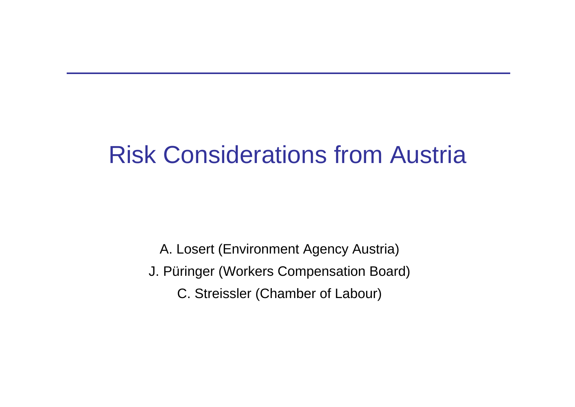# Risk Considerations from Austria

A. Losert (Environment Agency Austria) J. Püringer (Workers Compensation Board) C. Streissler (Chamber of Labour)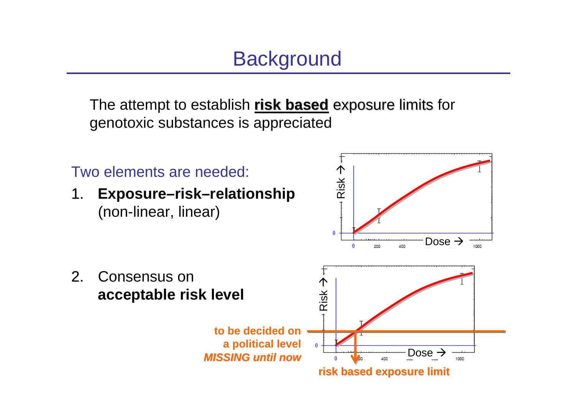# **Background**

The attempt to establish **risk based** exposure limits for genotoxic substances is appreciated

Two elements are needed:

2. Consensus on

1. **Exposure–risk–relationship** (non-linear, linear)

**acceptable risk level**



**risk based exposure limit risk based exposure limit**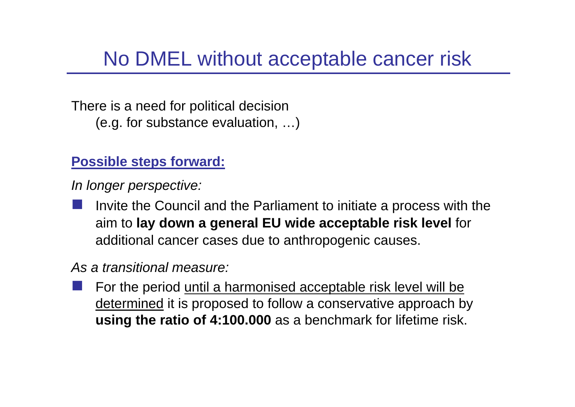### No DMEL without acceptable cancer risk

There is a need for political decision (e.g. for substance evaluation, …)

#### **Possible steps forward:**

*In longer perspective:*

 Invite the Council and the Parliament to initiate a process with the aim to **lay down a general EU wide acceptable risk level** for additional cancer cases due to anthropogenic causes.

#### *As a transitional measure:*

 For the period until a harmonised acceptable risk level will be determined it is proposed to follow a conservative approach by **using the ratio of 4:100.000** as a benchmark for lifetime risk.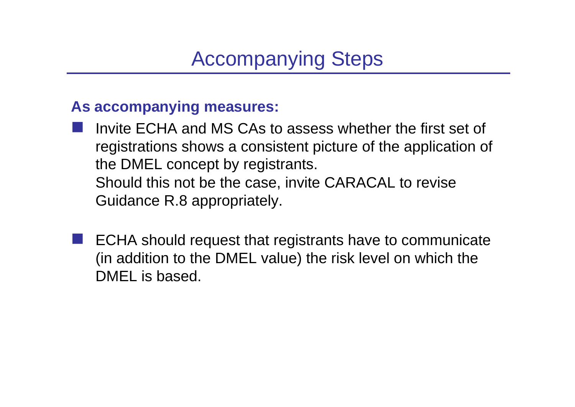# Accompanying Steps

#### **As accompanying measures:**

- i<br>Ma Invite ECHA and MS CAs to assess whether the first set of registrations shows a consistent picture of the application of the DMEL concept by registrants. Should this not be the case, invite CARACAL to revise Guidance R.8 appropriately.
- i<br>Ma ECHA should request that registrants have to communicate (in addition to the DMEL value) the risk level on which the DMEL is based.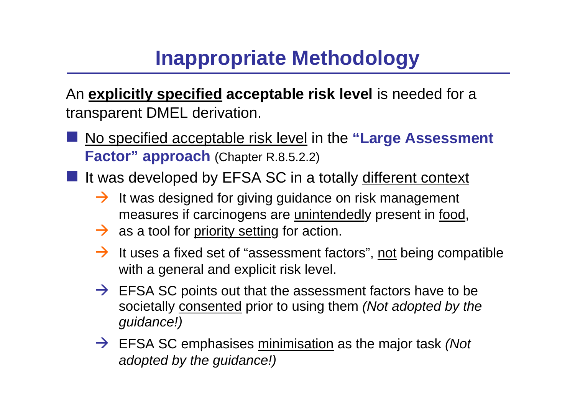# **Inappropriate Methodology**

An **explicitly specified acceptable risk level** is needed for a transparent DMEL derivation.

- No specified acceptable risk level in the **"Large Assessment Factor" approach** (Chapter R.8.5.2.2)
- If was developed by EFSA SC in a totally different context
	- $\rightarrow$  It was designed for giving guidance on risk management measures if carcinogens are unintendedly present in food,
	- $\rightarrow$  as a tool for priority setting for action.
	- $\rightarrow$  It uses a fixed set of "assessment factors", not being compatible with a general and explicit risk level.
	- $\rightarrow$  EFSA SC points out that the assessment factors have to be societally consented prior to using them *(Not adopted by the guidance!)*
	- → EFSA SC emphasises minimisation as the major task *(Not adopted by the guidance!)*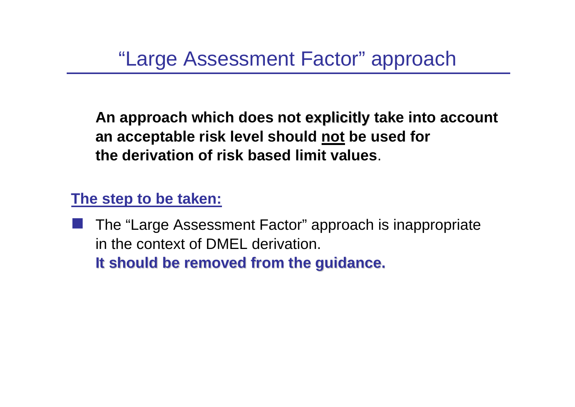"Large Assessment Factor" approach

**An approach which does not explicitly take into account explicitly an acceptable risk level should not be used for the derivation of risk based limit values**.

**The step to be taken:**

 The "Large Assessment Factor" approach is inappropriate in the context of DMEL derivation. **It should be removed from the guidance. It should be removed from the guidance.**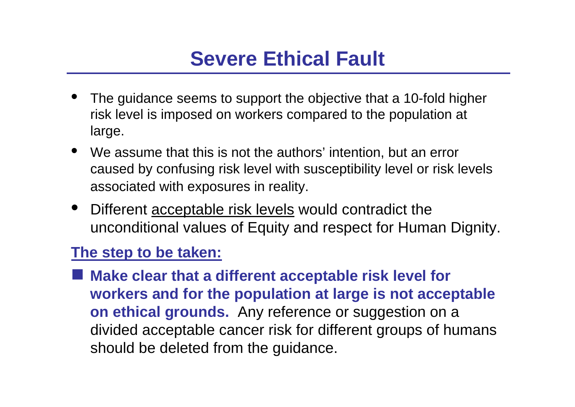## **Severe Ethical Fault**

- • The guidance seems to support the objective that a 10-fold higher risk level is imposed on workers compared to the population at large.
- We assume that this is not the authors' intention, but an error caused by confusing risk level with susceptibility level or risk levels associated with exposures in reality.
- $\bullet$  Different acceptable risk levels would contradict the unconditional values of Equity and respect for Human Dignity.

#### **The step to be taken:**

■ Make clear that a different acceptable risk level for **workers and for the population at large is not acceptable on ethical grounds.** Any reference or suggestion on a divided acceptable cancer risk for different groups of humans should be deleted from the guidance.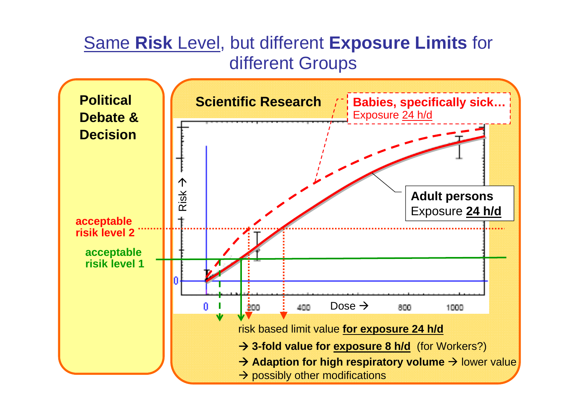### Same **Risk** Level, but different **Exposure Limits** for different Groups

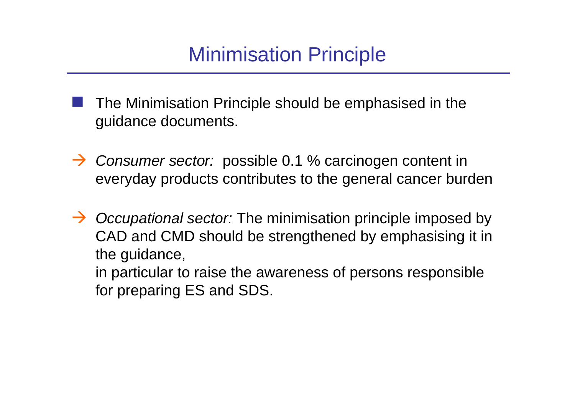### Minimisation Principle

- i<br>Ma The Minimisation Principle should be emphasised in the guidance documents.
- → Consumer sector: possible 0.1 % carcinogen content in everyday products contributes to the general cancer burden
- → *Occupational sector:* The minimisation principle imposed by CAD and CMD should be strengthened by emphasising it in the guidance, in particular to raise the awareness of persons responsible for preparing ES and SDS.